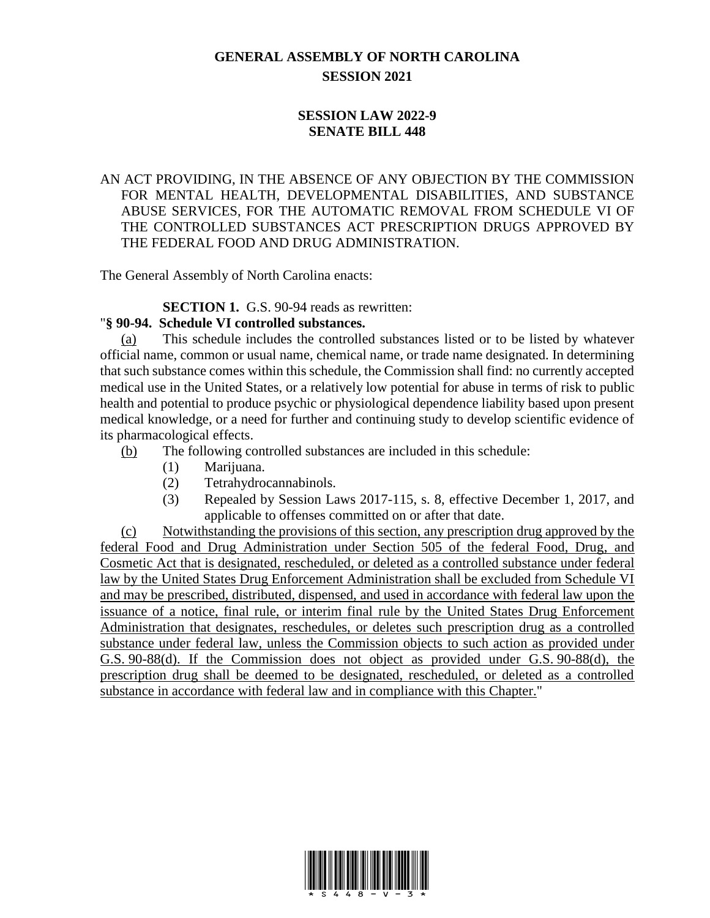## **GENERAL ASSEMBLY OF NORTH CAROLINA SESSION 2021**

## **SESSION LAW 2022-9 SENATE BILL 448**

## AN ACT PROVIDING, IN THE ABSENCE OF ANY OBJECTION BY THE COMMISSION FOR MENTAL HEALTH, DEVELOPMENTAL DISABILITIES, AND SUBSTANCE ABUSE SERVICES, FOR THE AUTOMATIC REMOVAL FROM SCHEDULE VI OF THE CONTROLLED SUBSTANCES ACT PRESCRIPTION DRUGS APPROVED BY THE FEDERAL FOOD AND DRUG ADMINISTRATION.

The General Assembly of North Carolina enacts:

**SECTION 1.** G.S. 90-94 reads as rewritten:

## "**§ 90-94. Schedule VI controlled substances.**

(a) This schedule includes the controlled substances listed or to be listed by whatever official name, common or usual name, chemical name, or trade name designated. In determining that such substance comes within this schedule, the Commission shall find: no currently accepted medical use in the United States, or a relatively low potential for abuse in terms of risk to public health and potential to produce psychic or physiological dependence liability based upon present medical knowledge, or a need for further and continuing study to develop scientific evidence of its pharmacological effects.

- (b) The following controlled substances are included in this schedule:
	- (1) Marijuana.
	- (2) Tetrahydrocannabinols.
	- (3) Repealed by Session Laws 2017-115, s. 8, effective December 1, 2017, and applicable to offenses committed on or after that date.

(c) Notwithstanding the provisions of this section, any prescription drug approved by the federal Food and Drug Administration under Section 505 of the federal Food, Drug, and Cosmetic Act that is designated, rescheduled, or deleted as a controlled substance under federal law by the United States Drug Enforcement Administration shall be excluded from Schedule VI and may be prescribed, distributed, dispensed, and used in accordance with federal law upon the issuance of a notice, final rule, or interim final rule by the United States Drug Enforcement Administration that designates, reschedules, or deletes such prescription drug as a controlled substance under federal law, unless the Commission objects to such action as provided under G.S. 90-88(d). If the Commission does not object as provided under G.S. 90-88(d), the prescription drug shall be deemed to be designated, rescheduled, or deleted as a controlled substance in accordance with federal law and in compliance with this Chapter."